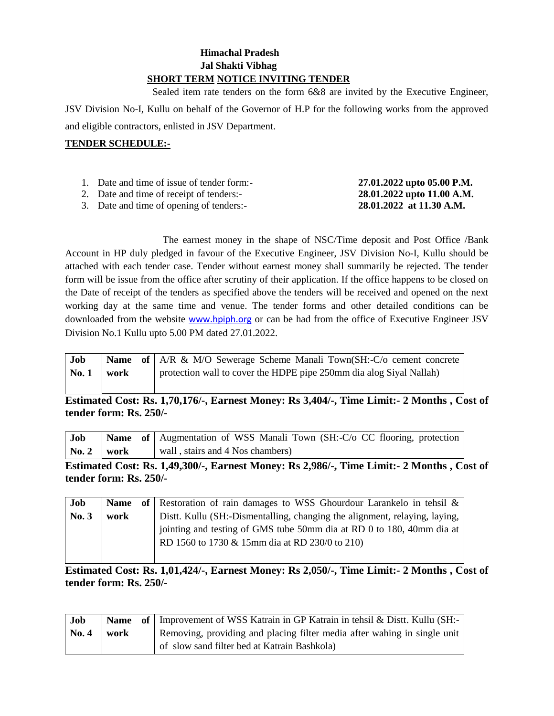## **Himachal Pradesh Jal Shakti Vibhag SHORT TERM NOTICE INVITING TENDER**

 Sealed item rate tenders on the form 6&8 are invited by the Executive Engineer, JSV Division No-I, Kullu on behalf of the Governor of H.P for the following works from the approved and eligible contractors, enlisted in JSV Department.

## **TENDER SCHEDULE:-**

| 1. Date and time of issue of tender form:- | 27.01.2022 upto 05.00 P.M. |
|--------------------------------------------|----------------------------|
| 2. Date and time of receipt of tenders:-   | 28.01.2022 upto 11.00 A.M. |
| 3. Date and time of opening of tenders:-   | 28.01.2022 at 11.30 A.M.   |

The earnest money in the shape of NSC/Time deposit and Post Office /Bank Account in HP duly pledged in favour of the Executive Engineer, JSV Division No-I, Kullu should be attached with each tender case. Tender without earnest money shall summarily be rejected. The tender form will be issue from the office after scrutiny of their application. If the office happens to be closed on the Date of receipt of the tenders as specified above the tenders will be received and opened on the next working day at the same time and venue. The tender forms and other detailed conditions can be downloaded from the website [www.hpiph.org](http://www.hpiph.org/) or can be had from the office of Executive Engineer JSV Division No.1 Kullu upto 5.00 PM dated 27.01.2022.

| Job   |      | <b>Name</b> of A/R & M/O Sewerage Scheme Manali Town(SH:-C/o cement concrete |
|-------|------|------------------------------------------------------------------------------|
| No. 1 | work | protection wall to cover the HDPE pipe 250mm dia alog Siyal Nallah)          |

**Estimated Cost: Rs. 1,70,176/-, Earnest Money: Rs 3,404/-, Time Limit:- 2 Months , Cost of tender form: Rs. 250/-**

| Job             |  | <b>Name</b> of Augmentation of WSS Manali Town (SH:-C/o CC flooring, protection |
|-----------------|--|---------------------------------------------------------------------------------|
| $\sqrt{2}$ work |  | wall, stairs and 4 Nos chambers)                                                |

**Estimated Cost: Rs. 1,49,300/-, Earnest Money: Rs 2,986/-, Time Limit:- 2 Months , Cost of tender form: Rs. 250/-**

| Job   | <b>Name</b> | of Restoration of rain damages to WSS Ghourdour Larankelo in tehsil $\&$     |
|-------|-------------|------------------------------------------------------------------------------|
| No. 3 | work        | Distt. Kullu (SH:-Dismentalling, changing the alignment, relaying, laying, 1 |
|       |             | jointing and testing of GMS tube 50mm dia at RD 0 to 180, 40mm dia at        |
|       |             | RD 1560 to 1730 & 15mm dia at RD 230/0 to 210)                               |
|       |             |                                                                              |

**Estimated Cost: Rs. 1,01,424/-, Earnest Money: Rs 2,050/-, Time Limit:- 2 Months , Cost of tender form: Rs. 250/-**

| Job                    |      | <b>Name</b> of Improvement of WSS Katrain in GP Katrain in tehsil & Distt. Kullu (SH:- |
|------------------------|------|----------------------------------------------------------------------------------------|
| $\sqrt{\text{No. } 4}$ | work | Removing, providing and placing filter media after wahing in single unit               |
|                        |      | of slow sand filter bed at Katrain Bashkola)                                           |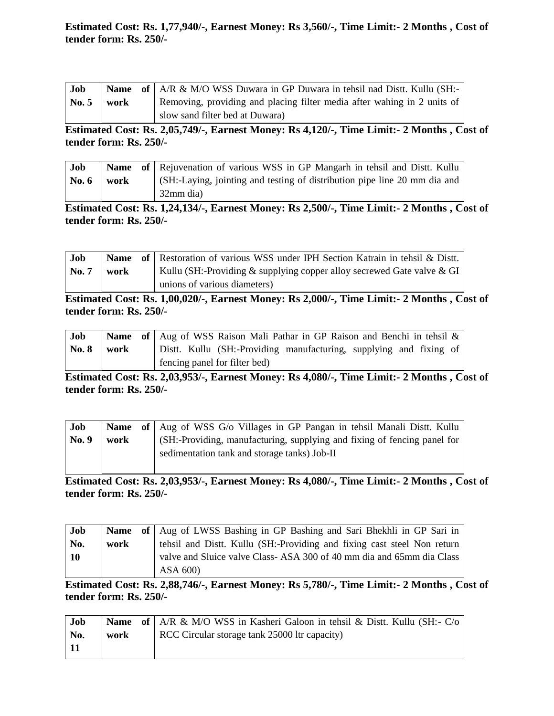**Estimated Cost: Rs. 1,77,940/-, Earnest Money: Rs 3,560/-, Time Limit:- 2 Months , Cost of tender form: Rs. 250/-**

| Job             |      | <b>Name</b> of A/R & M/O WSS Duwara in GP Duwara in tehsil nad Distt. Kullu (SH:- |
|-----------------|------|-----------------------------------------------------------------------------------|
| $\mathbf{No.}5$ | work | Removing, providing and placing filter media after wahing in 2 units of           |
|                 |      | slow sand filter bed at Duwara)                                                   |

**Estimated Cost: Rs. 2,05,749/-, Earnest Money: Rs 4,120/-, Time Limit:- 2 Months , Cost of tender form: Rs. 250/-**

| Job     |      | <b>Name</b> of Rejuvenation of various WSS in GP Mangarh in tehsil and Dist. Kullu |
|---------|------|------------------------------------------------------------------------------------|
| No. $6$ | work | (SH:-Laying, jointing and testing of distribution pipe line 20 mm dia and          |
|         |      | 32mm dia)                                                                          |

**Estimated Cost: Rs. 1,24,134/-, Earnest Money: Rs 2,500/-, Time Limit:- 2 Months , Cost of tender form: Rs. 250/-**

| Job          |      | <b>Name</b> of Restoration of various WSS under IPH Section Katrain in tehsil & Distt. |
|--------------|------|----------------------------------------------------------------------------------------|
| <b>No. 7</b> | work | Kullu (SH:-Providing & supplying copper alloy secrewed Gate valve & GI                 |
|              |      | unions of various diameters)                                                           |

**Estimated Cost: Rs. 1,00,020/-, Earnest Money: Rs 2,000/-, Time Limit:- 2 Months , Cost of tender form: Rs. 250/-**

| Job          |      |  | <b>Name</b> of Aug of WSS Raison Mali Pathar in GP Raison and Benchi in tehsil & |  |  |  |
|--------------|------|--|----------------------------------------------------------------------------------|--|--|--|
| <b>No. 8</b> | work |  | Distt. Kullu (SH:-Providing manufacturing, supplying and fixing of               |  |  |  |
|              |      |  | fencing panel for filter bed)                                                    |  |  |  |

**Estimated Cost: Rs. 2,03,953/-, Earnest Money: Rs 4,080/-, Time Limit:- 2 Months , Cost of tender form: Rs. 250/-**

| Job   |      | <b>Name</b> of Aug of WSS G/o Villages in GP Pangan in tehsil Manali Distt. Kullu |
|-------|------|-----------------------------------------------------------------------------------|
| No. 9 | work | (SH:-Providing, manufacturing, supplying and fixing of fencing panel for          |
|       |      | sedimentation tank and storage tanks) Job-II                                      |

**Estimated Cost: Rs. 2,03,953/-, Earnest Money: Rs 4,080/-, Time Limit:- 2 Months , Cost of tender form: Rs. 250/-**

| Job       |      | Name of   Aug of LWSS Bashing in GP Bashing and Sari Bhekhli in GP Sari in |
|-----------|------|----------------------------------------------------------------------------|
| No.       | work | tehsil and Distt. Kullu (SH:-Providing and fixing cast steel Non return    |
| <b>10</b> |      | valve and Sluice valve Class-ASA 300 of 40 mm dia and 65mm dia Class       |
|           |      | ASA 600)                                                                   |

**Estimated Cost: Rs. 2,88,746/-, Earnest Money: Rs 5,780/-, Time Limit:- 2 Months , Cost of tender form: Rs. 250/-**

| Job  |      | <b>Name</b> of $AR \& M/O WSS$ in Kasheri Galoon in tehsil & Distt. Kullu (SH:- C/o) |
|------|------|--------------------------------------------------------------------------------------|
| No.  | work | RCC Circular storage tank 25000 ltr capacity)                                        |
| l 11 |      |                                                                                      |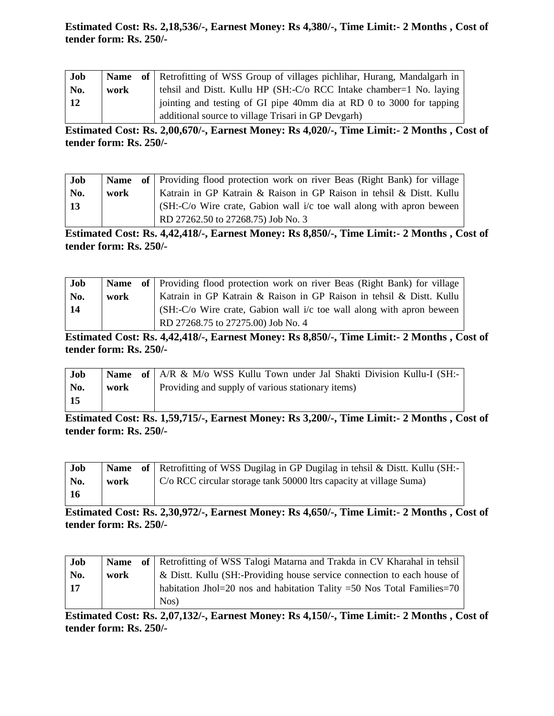# **Estimated Cost: Rs. 2,18,536/-, Earnest Money: Rs 4,380/-, Time Limit:- 2 Months , Cost of tender form: Rs. 250/-**

| Job        |      | <b>Name</b> of Retrofitting of WSS Group of villages pichlihar, Hurang, Mandalgarh in |
|------------|------|---------------------------------------------------------------------------------------|
| No.        | work | tehsil and Distt. Kullu HP (SH:-C/o RCC Intake chamber=1 No. laying                   |
| $\vert$ 12 |      | jointing and testing of GI pipe 40mm dia at RD 0 to 3000 for tapping                  |
|            |      | additional source to village Trisari in GP Devgarh)                                   |

**Estimated Cost: Rs. 2,00,670/-, Earnest Money: Rs 4,020/-, Time Limit:- 2 Months , Cost of tender form: Rs. 250/-**

| Job |      | <b>Name</b> of Providing flood protection work on river Beas (Right Bank) for village |
|-----|------|---------------------------------------------------------------------------------------|
| No. | work | Katrain in GP Katrain & Raison in GP Raison in tehsil & Distt. Kullu                  |
| -13 |      | $(SH:-C/O$ Wire crate, Gabion wall $i/c$ toe wall along with apron beween             |
|     |      | RD 27262.50 to 27268.75) Job No. 3                                                    |

**Estimated Cost: Rs. 4,42,418/-, Earnest Money: Rs 8,850/-, Time Limit:- 2 Months , Cost of tender form: Rs. 250/-**

| Job |      | <b>Name</b> of Providing flood protection work on river Beas (Right Bank) for village |
|-----|------|---------------------------------------------------------------------------------------|
| No. | work | Katrain in GP Katrain & Raison in GP Raison in tehsil & Distt. Kullu                  |
| -14 |      | (SH:-C/o Wire crate, Gabion wall i/c toe wall along with apron beween                 |
|     |      | RD 27268.75 to 27275.00) Job No. 4                                                    |

**Estimated Cost: Rs. 4,42,418/-, Earnest Money: Rs 8,850/-, Time Limit:- 2 Months , Cost of tender form: Rs. 250/-**

| Job   |      | Name of A/R & M/o WSS Kullu Town under Jal Shakti Division Kullu-I (SH:- |
|-------|------|--------------------------------------------------------------------------|
| No.   | work | Providing and supply of various stationary items)                        |
| $-15$ |      |                                                                          |

**Estimated Cost: Rs. 1,59,715/-, Earnest Money: Rs 3,200/-, Time Limit:- 2 Months , Cost of tender form: Rs. 250/-**

| Job |      | <b>Name</b> of Retrofitting of WSS Dugilag in GP Dugilag in tehsil & Dist. Kullu (SH:- |
|-----|------|----------------------------------------------------------------------------------------|
| No. | work | $\mid$ C/o RCC circular storage tank 50000 ltrs capacity at village Suma)              |
|     |      |                                                                                        |

**Estimated Cost: Rs. 2,30,972/-, Earnest Money: Rs 4,650/-, Time Limit:- 2 Months , Cost of tender form: Rs. 250/-**

| Job  |      | <b>Name</b> of Retrofitting of WSS Talogi Matarna and Trakda in CV Kharahal in tehsil |
|------|------|---------------------------------------------------------------------------------------|
| No.  | work | & Distt. Kullu (SH:-Providing house service connection to each house of               |
| l 17 |      | habitation Jhol=20 nos and habitation Tality =50 Nos Total Families=70                |
|      |      | Nos                                                                                   |

**Estimated Cost: Rs. 2,07,132/-, Earnest Money: Rs 4,150/-, Time Limit:- 2 Months , Cost of tender form: Rs. 250/-**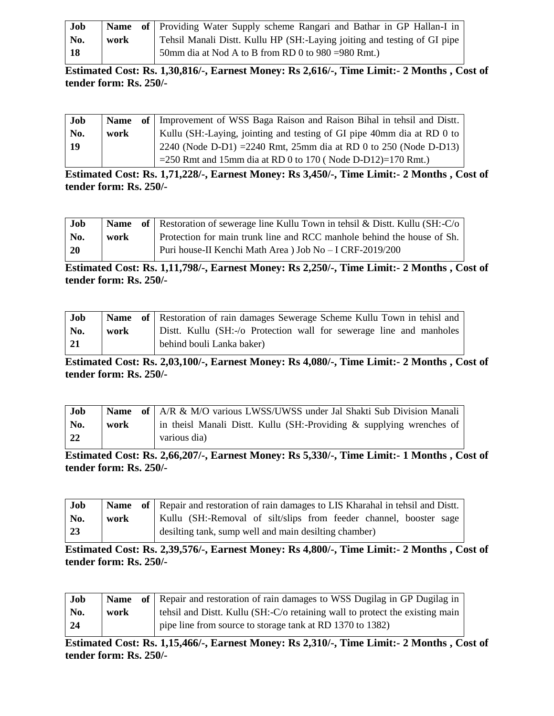| Job |      | <b>Name</b> of Providing Water Supply scheme Rangari and Bathar in GP Hallan-I in |
|-----|------|-----------------------------------------------------------------------------------|
| No. | work | Tehsil Manali Distt. Kullu HP (SH:-Laying joiting and testing of GI pipe          |
| -18 |      | 50mm dia at Nod A to B from RD 0 to 980 = 980 Rmt.)                               |

**Estimated Cost: Rs. 1,30,816/-, Earnest Money: Rs 2,616/-, Time Limit:- 2 Months , Cost of tender form: Rs. 250/-**

| Job |      | Name of   Improvement of WSS Baga Raison and Raison Bihal in tehsil and Distt. |
|-----|------|--------------------------------------------------------------------------------|
| No. | work | Kullu (SH:-Laying, jointing and testing of GI pipe 40mm dia at RD 0 to         |
| 19  |      | 2240 (Node D-D1) = $2240$ Rmt, 25mm dia at RD 0 to 250 (Node D-D13)            |
|     |      | $=$ 250 Rmt and 15mm dia at RD 0 to 170 (Node D-D12)=170 Rmt.)                 |

**Estimated Cost: Rs. 1,71,228/-, Earnest Money: Rs 3,450/-, Time Limit:- 2 Months , Cost of tender form: Rs. 250/-**

| Job             |      | <b>Name</b> of Restoration of sewerage line Kullu Town in tehsil & Dist. Kullu (SH:-C/o) |
|-----------------|------|------------------------------------------------------------------------------------------|
| No.             | work | Protection for main trunk line and RCC manhole behind the house of Sh.                   |
| $\overline{20}$ |      | Puri house-II Kenchi Math Area) Job No - I CRF-2019/200                                  |

**Estimated Cost: Rs. 1,11,798/-, Earnest Money: Rs 2,250/-, Time Limit:- 2 Months , Cost of tender form: Rs. 250/-**

| <b>Job</b> |      | <b>Name</b> of Restoration of rain damages Sewerage Scheme Kullu Town in tehisl and |
|------------|------|-------------------------------------------------------------------------------------|
| No.        | work | Dist. Kullu (SH:-/o Protection wall for sewerage line and manholes                  |
| 21         |      | behind bouli Lanka baker)                                                           |

**Estimated Cost: Rs. 2,03,100/-, Earnest Money: Rs 4,080/-, Time Limit:- 2 Months , Cost of tender form: Rs. 250/-**

| <b>Job</b>  |      | <b>Name</b> of A/R & M/O various LWSS/UWSS under Jal Shakti Sub Division Manali |
|-------------|------|---------------------------------------------------------------------------------|
| No.         | work | in theisl Manali Distt. Kullu (SH:-Providing $\&$ supplying wrenches of         |
| $\sqrt{22}$ |      | various dia)                                                                    |

**Estimated Cost: Rs. 2,66,207/-, Earnest Money: Rs 5,330/-, Time Limit:- 1 Months , Cost of tender form: Rs. 250/-**

| Job             |      | <b>Name</b> of Repair and restoration of rain damages to LIS Kharahal in tehsil and Distt. |
|-----------------|------|--------------------------------------------------------------------------------------------|
| No.             | work | Kullu (SH:-Removal of silt/slips from feeder channel, booster sage                         |
| $\overline{23}$ |      | desilting tank, sump well and main desilting chamber)                                      |

**Estimated Cost: Rs. 2,39,576/-, Earnest Money: Rs 4,800/-, Time Limit:- 2 Months , Cost of tender form: Rs. 250/-**

| Job |      | <b>Name</b> of Repair and restoration of rain damages to WSS Dugilag in GP Dugilag in |
|-----|------|---------------------------------------------------------------------------------------|
| No. | work | tehsil and Distt. Kullu (SH:-C/o retaining wall to protect the existing main          |
| 24  |      | pipe line from source to storage tank at RD 1370 to 1382)                             |

**Estimated Cost: Rs. 1,15,466/-, Earnest Money: Rs 2,310/-, Time Limit:- 2 Months , Cost of tender form: Rs. 250/-**